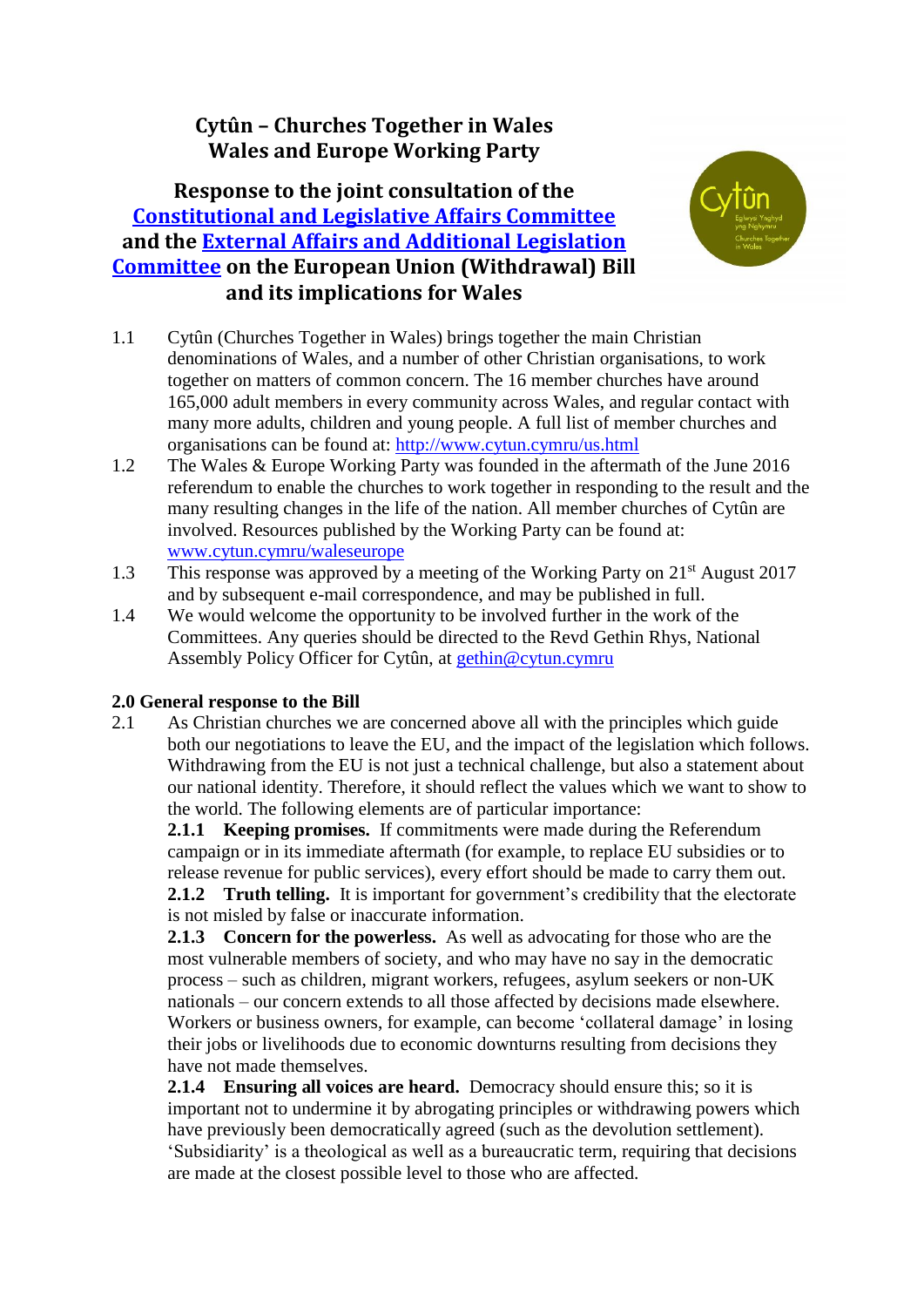# **Cytûn – Churches Together in Wales Wales and Europe Working Party**

# **Response to the joint consultation of the [Constitutional and Legislative Affairs Committee](http://www.senedd.assembly.wales/mgCommitteeDetails.aspx?ID=434) and the [External Affairs and Additional Legislation](http://www.senedd.assembly.wales/mgCommitteeDetails.aspx?ID=449)  [Committee](http://www.senedd.assembly.wales/mgCommitteeDetails.aspx?ID=449) on the European Union (Withdrawal) Bill and its implications for Wales**



- 1.1 Cytûn (Churches Together in Wales) brings together the main Christian denominations of Wales, and a number of other Christian organisations, to work together on matters of common concern. The 16 member churches have around 165,000 adult members in every community across Wales, and regular contact with many more adults, children and young people. A full list of member churches and organisations can be found at:<http://www.cytun.cymru/us.html>
- 1.2 The Wales & Europe Working Party was founded in the aftermath of the June 2016 referendum to enable the churches to work together in responding to the result and the many resulting changes in the life of the nation. All member churches of Cytûn are involved. Resources published by the Working Party can be found at: [www.cytun.cymru/waleseurope](http://www.cytun.cymru/waleseurope)
- 1.3 This response was approved by a meeting of the Working Party on 21<sup>st</sup> August 2017 and by subsequent e-mail correspondence, and may be published in full.
- 1.4 We would welcome the opportunity to be involved further in the work of the Committees. Any queries should be directed to the Revd Gethin Rhys, National Assembly Policy Officer for Cytûn, at [gethin@cytun.cymru](mailto:gethin@cytun.cymru)

### **2.0 General response to the Bill**

2.1 As Christian churches we are concerned above all with the principles which guide both our negotiations to leave the EU, and the impact of the legislation which follows. Withdrawing from the EU is not just a technical challenge, but also a statement about our national identity. Therefore, it should reflect the values which we want to show to the world. The following elements are of particular importance:

**2.1.1 Keeping promises.** If commitments were made during the Referendum campaign or in its immediate aftermath (for example, to replace EU subsidies or to release revenue for public services), every effort should be made to carry them out. **2.1.2 Truth telling.** It is important for government's credibility that the electorate is not misled by false or inaccurate information.

**2.1.3 Concern for the powerless.** As well as advocating for those who are the most vulnerable members of society, and who may have no say in the democratic process – such as children, migrant workers, refugees, asylum seekers or non-UK nationals – our concern extends to all those affected by decisions made elsewhere. Workers or business owners, for example, can become 'collateral damage' in losing their jobs or livelihoods due to economic downturns resulting from decisions they have not made themselves.

**2.1.4 Ensuring all voices are heard.** Democracy should ensure this; so it is important not to undermine it by abrogating principles or withdrawing powers which have previously been democratically agreed (such as the devolution settlement). 'Subsidiarity' is a theological as well as a bureaucratic term, requiring that decisions are made at the closest possible level to those who are affected.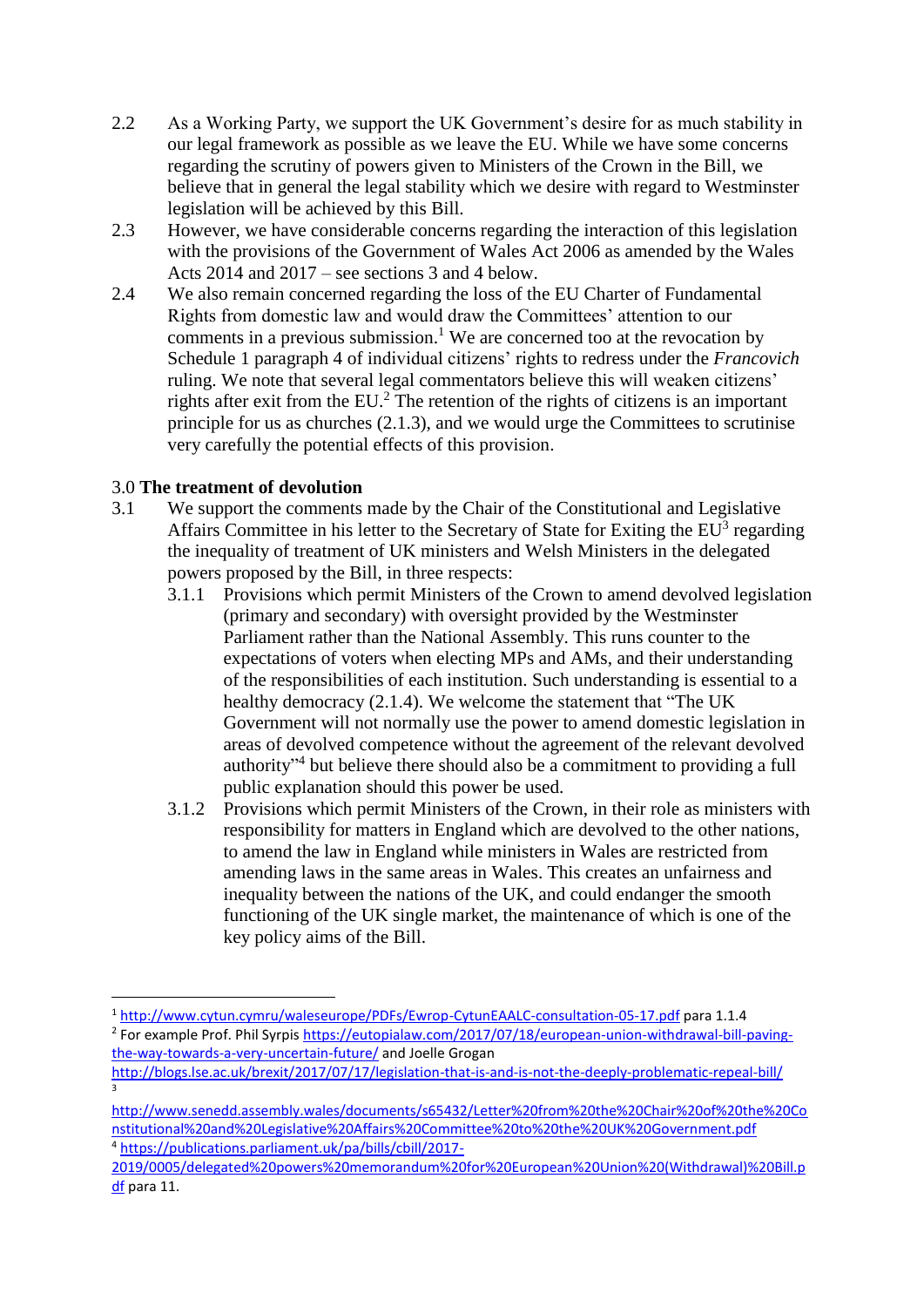- 2.2 As a Working Party, we support the UK Government's desire for as much stability in our legal framework as possible as we leave the EU. While we have some concerns regarding the scrutiny of powers given to Ministers of the Crown in the Bill, we believe that in general the legal stability which we desire with regard to Westminster legislation will be achieved by this Bill.
- 2.3 However, we have considerable concerns regarding the interaction of this legislation with the provisions of the Government of Wales Act 2006 as amended by the Wales Acts 2014 and 2017 – see sections 3 and 4 below.
- 2.4 We also remain concerned regarding the loss of the EU Charter of Fundamental Rights from domestic law and would draw the Committees' attention to our comments in a previous submission.<sup>1</sup> We are concerned too at the revocation by Schedule 1 paragraph 4 of individual citizens' rights to redress under the *Francovich*  ruling. We note that several legal commentators believe this will weaken citizens' rights after exit from the  $EU^2$ . The retention of the rights of citizens is an important principle for us as churches (2.1.3), and we would urge the Committees to scrutinise very carefully the potential effects of this provision.

### 3.0 **The treatment of devolution**

**.** 

3

- 3.1 We support the comments made by the Chair of the Constitutional and Legislative Affairs Committee in his letter to the Secretary of State for Exiting the  $EU^3$  regarding the inequality of treatment of UK ministers and Welsh Ministers in the delegated powers proposed by the Bill, in three respects:
	- 3.1.1 Provisions which permit Ministers of the Crown to amend devolved legislation (primary and secondary) with oversight provided by the Westminster Parliament rather than the National Assembly. This runs counter to the expectations of voters when electing MPs and AMs, and their understanding of the responsibilities of each institution. Such understanding is essential to a healthy democracy (2.1.4). We welcome the statement that "The UK Government will not normally use the power to amend domestic legislation in areas of devolved competence without the agreement of the relevant devolved authority<sup>34</sup> but believe there should also be a commitment to providing a full public explanation should this power be used.
	- 3.1.2 Provisions which permit Ministers of the Crown, in their role as ministers with responsibility for matters in England which are devolved to the other nations, to amend the law in England while ministers in Wales are restricted from amending laws in the same areas in Wales. This creates an unfairness and inequality between the nations of the UK, and could endanger the smooth functioning of the UK single market, the maintenance of which is one of the key policy aims of the Bill.

<sup>1</sup> <http://www.cytun.cymru/waleseurope/PDFs/Ewrop-CytunEAALC-consultation-05-17.pdf> para 1.1.4 <sup>2</sup> For example Prof. Phil Syrpis [https://eutopialaw.com/2017/07/18/european-union-withdrawal-bill-paving-](https://eutopialaw.com/2017/07/18/european-union-withdrawal-bill-paving-the-way-towards-a-very-uncertain-future/)

[the-way-towards-a-very-uncertain-future/](https://eutopialaw.com/2017/07/18/european-union-withdrawal-bill-paving-the-way-towards-a-very-uncertain-future/) and Joelle Grogan <http://blogs.lse.ac.uk/brexit/2017/07/17/legislation-that-is-and-is-not-the-deeply-problematic-repeal-bill/>

[http://www.senedd.assembly.wales/documents/s65432/Letter%20from%20the%20Chair%20of%20the%20Co](http://www.senedd.assembly.wales/documents/s65432/Letter%20from%20the%20Chair%20of%20the%20Constitutional%20and%20Legislative%20Affairs%20Committee%20to%20the%20UK%20Government.pdf) [nstitutional%20and%20Legislative%20Affairs%20Committee%20to%20the%20UK%20Government.pdf](http://www.senedd.assembly.wales/documents/s65432/Letter%20from%20the%20Chair%20of%20the%20Constitutional%20and%20Legislative%20Affairs%20Committee%20to%20the%20UK%20Government.pdf) <sup>4</sup> [https://publications.parliament.uk/pa/bills/cbill/2017-](https://publications.parliament.uk/pa/bills/cbill/2017-2019/0005/delegated%20powers%20memorandum%20for%20European%20Union%20(Withdrawal)%20Bill.pdf)

[<sup>2019/0005/</sup>delegated%20powers%20memorandum%20for%20European%20Union%20\(Withdrawal\)%20Bill.p](https://publications.parliament.uk/pa/bills/cbill/2017-2019/0005/delegated%20powers%20memorandum%20for%20European%20Union%20(Withdrawal)%20Bill.pdf) [df](https://publications.parliament.uk/pa/bills/cbill/2017-2019/0005/delegated%20powers%20memorandum%20for%20European%20Union%20(Withdrawal)%20Bill.pdf) para 11.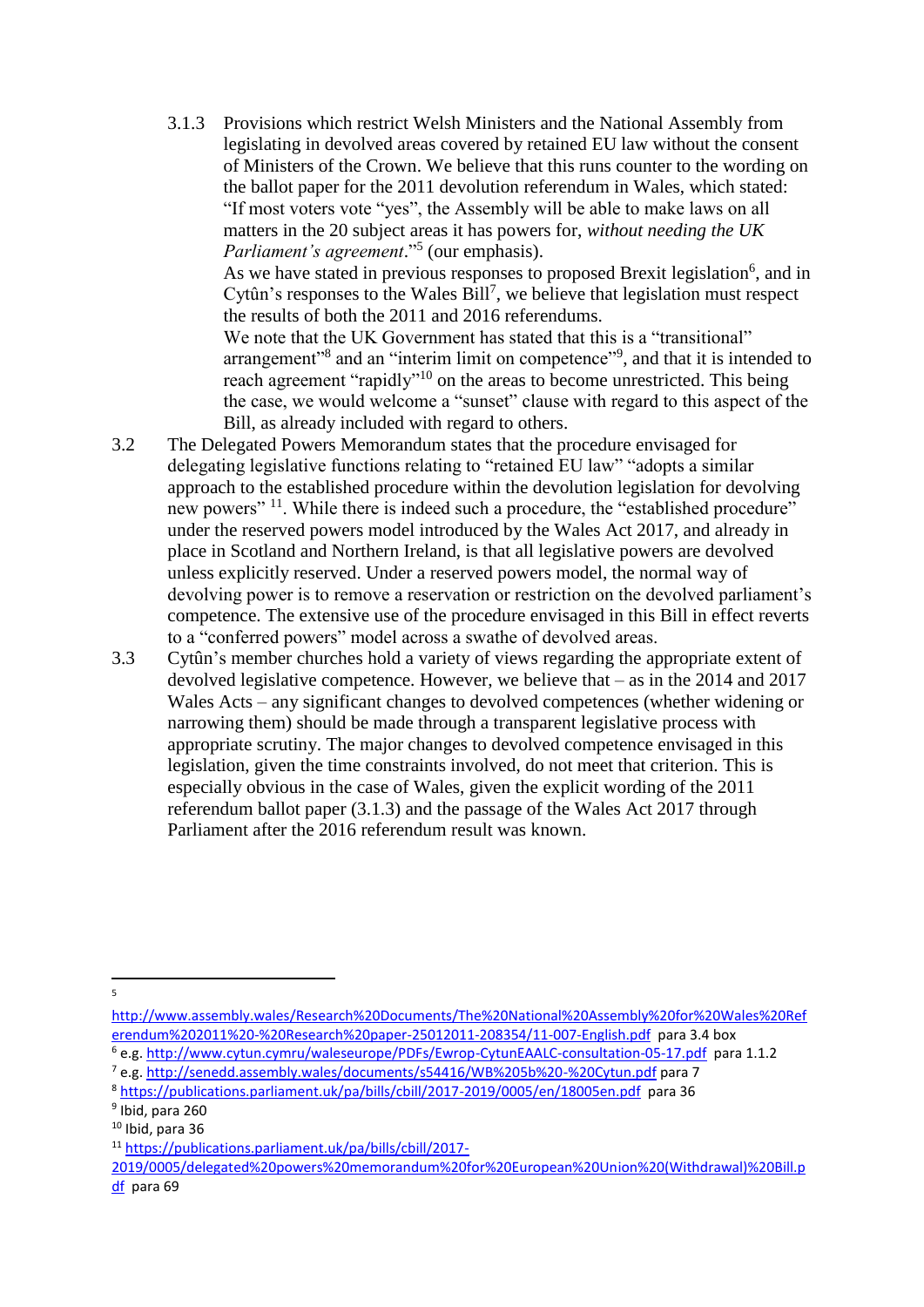3.1.3 Provisions which restrict Welsh Ministers and the National Assembly from legislating in devolved areas covered by retained EU law without the consent of Ministers of the Crown. We believe that this runs counter to the wording on the ballot paper for the 2011 devolution referendum in Wales, which stated: "If most voters vote "yes", the Assembly will be able to make laws on all matters in the 20 subject areas it has powers for, *without needing the UK Parliament's agreement*." 5 (our emphasis).

As we have stated in previous responses to proposed Brexit legislation<sup>6</sup>, and in Cytûn's responses to the Wales Bill<sup>7</sup>, we believe that legislation must respect the results of both the 2011 and 2016 referendums.

We note that the UK Government has stated that this is a "transitional" arrangement"<sup>8</sup> and an "interim limit on competence"<sup>9</sup>, and that it is intended to reach agreement "rapidly"<sup>10</sup> on the areas to become unrestricted. This being the case, we would welcome a "sunset" clause with regard to this aspect of the Bill, as already included with regard to others.

- 3.2 The Delegated Powers Memorandum states that the procedure envisaged for delegating legislative functions relating to "retained EU law" "adopts a similar approach to the established procedure within the devolution legislation for devolving new powers" <sup>11</sup>. While there is indeed such a procedure, the "established procedure" under the reserved powers model introduced by the Wales Act 2017, and already in place in Scotland and Northern Ireland, is that all legislative powers are devolved unless explicitly reserved. Under a reserved powers model, the normal way of devolving power is to remove a reservation or restriction on the devolved parliament's competence. The extensive use of the procedure envisaged in this Bill in effect reverts to a "conferred powers" model across a swathe of devolved areas.
- 3.3 Cytûn's member churches hold a variety of views regarding the appropriate extent of devolved legislative competence. However, we believe that – as in the 2014 and 2017 Wales Acts – any significant changes to devolved competences (whether widening or narrowing them) should be made through a transparent legislative process with appropriate scrutiny. The major changes to devolved competence envisaged in this legislation, given the time constraints involved, do not meet that criterion. This is especially obvious in the case of Wales, given the explicit wording of the 2011 referendum ballot paper (3.1.3) and the passage of the Wales Act 2017 through Parliament after the 2016 referendum result was known.

<sup>-&</sup>lt;br>5

[http://www.assembly.wales/Research%20Documents/The%20National%20Assembly%20for%20Wales%20Ref](http://www.assembly.wales/Research%20Documents/The%20National%20Assembly%20for%20Wales%20Referendum%202011%20-%20Research%20paper-25012011-208354/11-007-English.pdf) [erendum%202011%20-%20Research%20paper-25012011-208354/11-007-English.pdf](http://www.assembly.wales/Research%20Documents/The%20National%20Assembly%20for%20Wales%20Referendum%202011%20-%20Research%20paper-25012011-208354/11-007-English.pdf) para 3.4 box

<sup>6</sup> e.g[. http://www.cytun.cymru/waleseurope/PDFs/Ewrop-CytunEAALC-consultation-05-17.pdf](http://www.cytun.cymru/waleseurope/PDFs/Ewrop-CytunEAALC-consultation-05-17.pdf) para 1.1.2

<sup>7</sup> e.g[. http://senedd.assembly.wales/documents/s54416/WB%205b%20-%20Cytun.pdf](http://senedd.assembly.wales/documents/s54416/WB%205b%20-%20Cytun.pdf) para 7

<sup>8</sup> <https://publications.parliament.uk/pa/bills/cbill/2017-2019/0005/en/18005en.pdf>para 36

<sup>9</sup> Ibid, para 260

 $10$  Ibid, para 36

<sup>11</sup> [https://publications.parliament.uk/pa/bills/cbill/2017-](https://publications.parliament.uk/pa/bills/cbill/2017-2019/0005/delegated%20powers%20memorandum%20for%20European%20Union%20(Withdrawal)%20Bill.pdf)

[<sup>2019/0005/</sup>delegated%20powers%20memorandum%20for%20European%20Union%20\(Withdrawal\)%20Bill.p](https://publications.parliament.uk/pa/bills/cbill/2017-2019/0005/delegated%20powers%20memorandum%20for%20European%20Union%20(Withdrawal)%20Bill.pdf) [df](https://publications.parliament.uk/pa/bills/cbill/2017-2019/0005/delegated%20powers%20memorandum%20for%20European%20Union%20(Withdrawal)%20Bill.pdf) para 69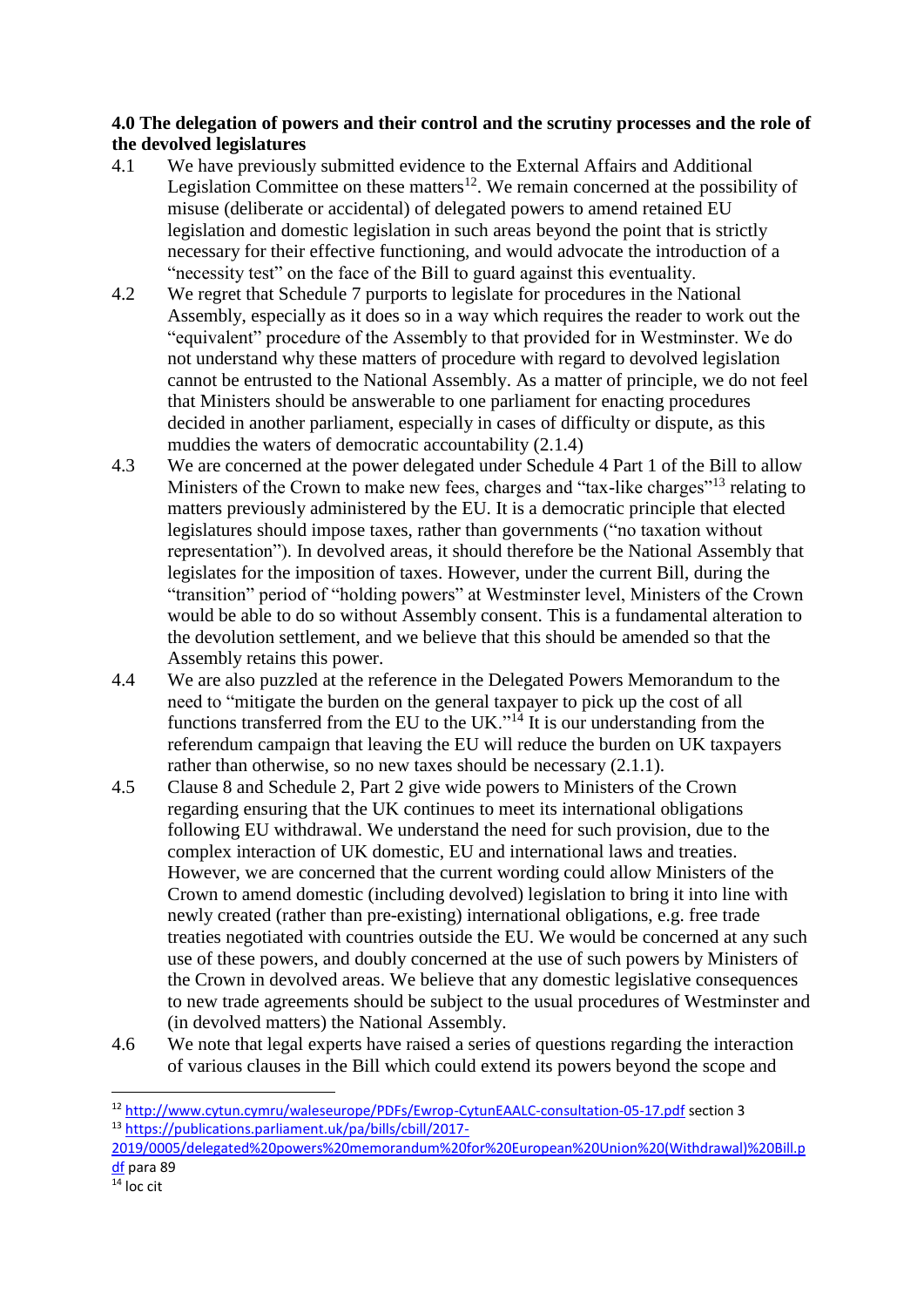#### **4.0 The delegation of powers and their control and the scrutiny processes and the role of the devolved legislatures**

- 4.1 We have previously submitted evidence to the External Affairs and Additional Legislation Committee on these matters<sup>12</sup>. We remain concerned at the possibility of misuse (deliberate or accidental) of delegated powers to amend retained EU legislation and domestic legislation in such areas beyond the point that is strictly necessary for their effective functioning, and would advocate the introduction of a "necessity test" on the face of the Bill to guard against this eventuality.
- 4.2 We regret that Schedule 7 purports to legislate for procedures in the National Assembly, especially as it does so in a way which requires the reader to work out the "equivalent" procedure of the Assembly to that provided for in Westminster. We do not understand why these matters of procedure with regard to devolved legislation cannot be entrusted to the National Assembly. As a matter of principle, we do not feel that Ministers should be answerable to one parliament for enacting procedures decided in another parliament, especially in cases of difficulty or dispute, as this muddies the waters of democratic accountability (2.1.4)
- 4.3 We are concerned at the power delegated under Schedule 4 Part 1 of the Bill to allow Ministers of the Crown to make new fees, charges and "tax-like charges"<sup>13</sup> relating to matters previously administered by the EU. It is a democratic principle that elected legislatures should impose taxes, rather than governments ("no taxation without representation"). In devolved areas, it should therefore be the National Assembly that legislates for the imposition of taxes. However, under the current Bill, during the "transition" period of "holding powers" at Westminster level, Ministers of the Crown would be able to do so without Assembly consent. This is a fundamental alteration to the devolution settlement, and we believe that this should be amended so that the Assembly retains this power.
- 4.4 We are also puzzled at the reference in the Delegated Powers Memorandum to the need to "mitigate the burden on the general taxpayer to pick up the cost of all functions transferred from the EU to the UK." $14$  It is our understanding from the referendum campaign that leaving the EU will reduce the burden on UK taxpayers rather than otherwise, so no new taxes should be necessary  $(2.1.1)$ .
- 4.5 Clause 8 and Schedule 2, Part 2 give wide powers to Ministers of the Crown regarding ensuring that the UK continues to meet its international obligations following EU withdrawal. We understand the need for such provision, due to the complex interaction of UK domestic, EU and international laws and treaties. However, we are concerned that the current wording could allow Ministers of the Crown to amend domestic (including devolved) legislation to bring it into line with newly created (rather than pre-existing) international obligations, e.g. free trade treaties negotiated with countries outside the EU. We would be concerned at any such use of these powers, and doubly concerned at the use of such powers by Ministers of the Crown in devolved areas. We believe that any domestic legislative consequences to new trade agreements should be subject to the usual procedures of Westminster and (in devolved matters) the National Assembly.
- 4.6 We note that legal experts have raised a series of questions regarding the interaction of various clauses in the Bill which could extend its powers beyond the scope and

[2019/0005/delegated%20powers%20memorandum%20for%20European%20Union%20\(Withdrawal\)%20Bill.p](https://publications.parliament.uk/pa/bills/cbill/2017-2019/0005/delegated%20powers%20memorandum%20for%20European%20Union%20(Withdrawal)%20Bill.pdf) [df](https://publications.parliament.uk/pa/bills/cbill/2017-2019/0005/delegated%20powers%20memorandum%20for%20European%20Union%20(Withdrawal)%20Bill.pdf) para 89

**.** 

<sup>12</sup> <http://www.cytun.cymru/waleseurope/PDFs/Ewrop-CytunEAALC-consultation-05-17.pdf> section 3 <sup>13</sup> [https://publications.parliament.uk/pa/bills/cbill/2017-](https://publications.parliament.uk/pa/bills/cbill/2017-2019/0005/delegated%20powers%20memorandum%20for%20European%20Union%20(Withdrawal)%20Bill.pdf)

 $14$  loc cit